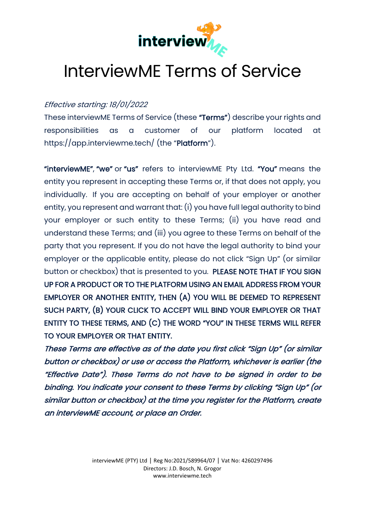

# InterviewME Terms of Service

# Effective starting: 18/01/2022

These interviewME Terms of Service (these "Terms") describe your rights and responsibilities as a customer of our platform located at https://app.interviewme.tech/ (the "Platform").

"interviewME", "we" or "us" refers to interviewME Pty Ltd. "You" means the entity you represent in accepting these Terms or, if that does not apply, you individually. If you are accepting on behalf of your employer or another entity, you represent and warrant that: (i) you have full legal authority to bind your employer or such entity to these Terms; (ii) you have read and understand these Terms; and (iii) you agree to these Terms on behalf of the party that you represent. If you do not have the legal authority to bind your employer or the applicable entity, please do not click "Sign Up" (or similar button or checkbox) that is presented to you. PLEASE NOTE THAT IF YOU SIGN UP FOR A PRODUCT OR TO THE PLATFORM USING AN EMAIL ADDRESS FROM YOUR EMPLOYER OR ANOTHER ENTITY, THEN (A) YOU WILL BE DEEMED TO REPRESENT SUCH PARTY, (B) YOUR CLICK TO ACCEPT WILL BIND YOUR EMPLOYER OR THAT ENTITY TO THESE TERMS, AND (C) THE WORD "YOU" IN THESE TERMS WILL REFER TO YOUR EMPLOYER OR THAT ENTITY.

These Terms are effective as of the date you first click "Sign Up" (or similar button or checkbox) or use or access the Platform, whichever is earlier (the "Effective Date"). These Terms do not have to be signed in order to be binding. You indicate your consent to these Terms by clicking "Sign Up" (or similar button or checkbox) at the time you register for the Platform, create an interviewME account, or place an Order.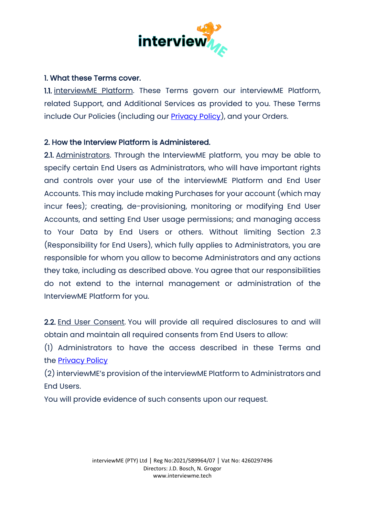

#### 1. What these Terms cover.

1.1. interviewME Platform. These Terms govern our interviewME Platform, related Support, and Additional Services as provided to you. These Terms include Our Policies (including our **Privacy Policy**), and your Orders.

#### 2. How the Interview Platform is Administered.

2.1. Administrators. Through the InterviewME platform, you may be able to specify certain End Users as Administrators, who will have important rights and controls over your use of the interviewME Platform and End User Accounts. This may include making Purchases for your account (which may incur fees); creating, de-provisioning, monitoring or modifying End User Accounts, and setting End User usage permissions; and managing access to Your Data by End Users or others. Without limiting Section 2.3 (Responsibility for End Users), which fully applies to Administrators, you are responsible for whom you allow to become Administrators and any actions they take, including as described above. You agree that our responsibilities do not extend to the internal management or administration of the InterviewME Platform for you.

2.2. End User Consent. You will provide all required disclosures to and will obtain and maintain all required consents from End Users to allow:

(1) Administrators to have the access described in these Terms and the [Privacy Policy](https://interviewme.tech/privacy-policy/)

(2) interviewME's provision of the interviewME Platform to Administrators and End Users.

You will provide evidence of such consents upon our request.

interviewME (PTY) Ltd | Reg No:2021/589964/07 | Vat No: 4260297496 Directors: J.D. Bosch, N. Grogor www.interviewme.tech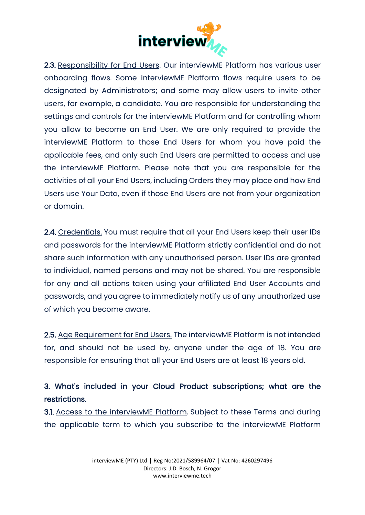

2.3. Responsibility for End Users. Our interviewME Platform has various user onboarding flows. Some interviewME Platform flows require users to be designated by Administrators; and some may allow users to invite other users, for example, a candidate. You are responsible for understanding the settings and controls for the interviewME Platform and for controlling whom you allow to become an End User. We are only required to provide the interviewME Platform to those End Users for whom you have paid the applicable fees, and only such End Users are permitted to access and use the interviewME Platform. Please note that you are responsible for the activities of all your End Users, including Orders they may place and how End Users use Your Data, even if those End Users are not from your organization or domain.

2.4. Credentials. You must require that all your End Users keep their user IDs and passwords for the interviewME Platform strictly confidential and do not share such information with any unauthorised person. User IDs are granted to individual, named persons and may not be shared. You are responsible for any and all actions taken using your affiliated End User Accounts and passwords, and you agree to immediately notify us of any unauthorized use of which you become aware.

2.5. Age Requirement for End Users. The interviewME Platform is not intended for, and should not be used by, anyone under the age of 18. You are responsible for ensuring that all your End Users are at least 18 years old.

# 3. What's included in your Cloud Product subscriptions; what are the restrictions.

3.1. Access to the interviewME Platform. Subject to these Terms and during the applicable term to which you subscribe to the interviewME Platform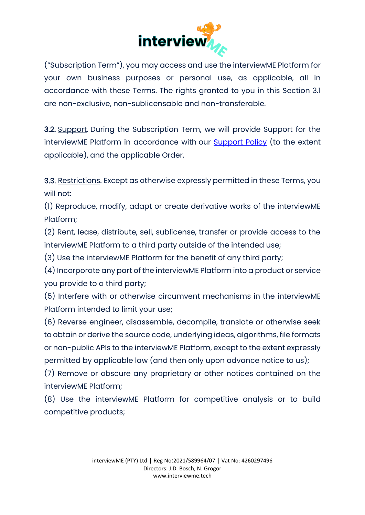

("Subscription Term"), you may access and use the interviewME Platform for your own business purposes or personal use, as applicable, all in accordance with these Terms. The rights granted to you in this Section 3.1 are non-exclusive, non-sublicensable and non-transferable.

3.2. Support. During the Subscription Term, we will provide Support for the interviewME Platform in accordance with our **Support Policy** (to the extent applicable), and the applicable Order.

3.3. Restrictions. Except as otherwise expressly permitted in these Terms, you will not:

(1) Reproduce, modify, adapt or create derivative works of the interviewME Platform;

(2) Rent, lease, distribute, sell, sublicense, transfer or provide access to the interviewME Platform to a third party outside of the intended use;

(3) Use the interviewME Platform for the benefit of any third party;

(4) Incorporate any part of the interviewME Platform into a product or service you provide to a third party;

(5) Interfere with or otherwise circumvent mechanisms in the interviewME Platform intended to limit your use;

(6) Reverse engineer, disassemble, decompile, translate or otherwise seek to obtain or derive the source code, underlying ideas, algorithms, file formats or non-public APIs to the interviewME Platform, except to the extent expressly permitted by applicable law (and then only upon advance notice to us);

(7) Remove or obscure any proprietary or other notices contained on the interviewME Platform;

(8) Use the interviewME Platform for competitive analysis or to build competitive products;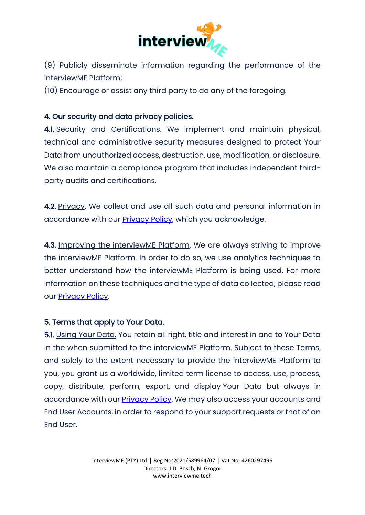

(9) Publicly disseminate information regarding the performance of the interviewME Platform;

(10) Encourage or assist any third party to do any of the foregoing.

# 4. Our security and data privacy policies.

4.1. Security and Certifications. We implement and maintain physical, technical and administrative security measures designed to protect Your Data from unauthorized access, destruction, use, modification, or disclosure. We also maintain a compliance program that includes independent thirdparty audits and certifications.

4.2. Privacy. We collect and use all such data and personal information in accordance with our **Privacy Policy**, which you acknowledge.

4.3. Improving the interviewME Platform. We are always striving to improve the interviewME Platform. In order to do so, we use analytics techniques to better understand how the interviewME Platform is being used. For more information on these techniques and the type of data collected, please read our **Privacy Policy**.

#### 5. Terms that apply to Your Data.

5.1. Using Your Data. You retain all right, title and interest in and to Your Data in the when submitted to the interviewME Platform. Subject to these Terms, and solely to the extent necessary to provide the interviewME Platform to you, you grant us a worldwide, limited term license to access, use, process, copy, distribute, perform, export, and display Your Data but always in accordance with our [Privacy Policy.](https://interviewme.tech/privacy-policy/) We may also access your accounts and End User Accounts, in order to respond to your support requests or that of an End User.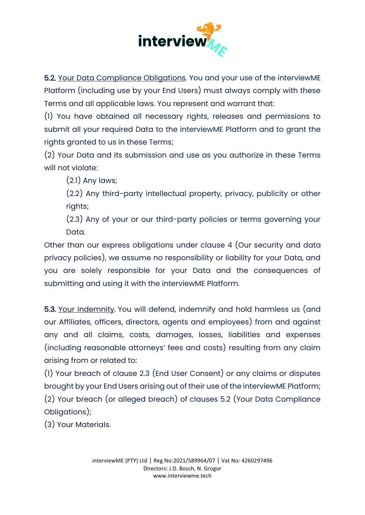

5.2. Your Data Compliance Obligations. You and your use of the interviewME Platform (including use by your End Users) must always comply with these Terms and all applicable laws. You represent and warrant that:

(1) You have obtained all necessary rights, releases and permissions to submit all your required Data to the interviewME Platform and to grant the rights granted to us in these Terms;

(2) Your Data and its submission and use as you authorize in these Terms will not violate:

(2.1) Any laws;

(2.2) Any third-party intellectual property, privacy, publicity or other rights;

(2.3) Any of your or our third-party policies or terms governing your Data.

Other than our express obligations under clause 4 (Our security and data privacy policies), we assume no responsibility or liability for your Data, and you are solely responsible for your Data and the consequences of submitting and using it with the interviewME Platform.

5.3. Your Indemnity. You will defend, indemnify and hold harmless us (and our Affiliates, officers, directors, agents and employees) from and against any and all claims, costs, damages, losses, liabilities and expenses (including reasonable attorneys' fees and costs) resulting from any claim arising from or related to:

(1) Your breach of clause 2.3 (End User Consent) or any claims or disputes brought by your End Users arising out of their use of the interviewME Platform; (2) Your breach (or alleged breach) of clauses 5.2 (Your Data Compliance Obligations);

(3) Your Materials.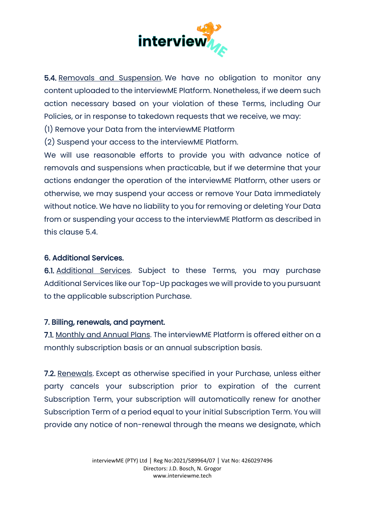

5.4. Removals and Suspension. We have no obligation to monitor any content uploaded to the interviewME Platform. Nonetheless, if we deem such action necessary based on your violation of these Terms, including Our Policies, or in response to takedown requests that we receive, we may:

(1) Remove your Data from the interviewME Platform

(2) Suspend your access to the interviewME Platform.

We will use reasonable efforts to provide you with advance notice of removals and suspensions when practicable, but if we determine that your actions endanger the operation of the interviewME Platform, other users or otherwise, we may suspend your access or remove Your Data immediately without notice. We have no liability to you for removing or deleting Your Data from or suspending your access to the interviewME Platform as described in this clause 5.4

#### 6. Additional Services.

6.1. Additional Services. Subject to these Terms, you may purchase Additional Services like our Top-Up packages we will provide to you pursuant to the applicable subscription Purchase.

#### 7. Billing, renewals, and payment.

7.1. Monthly and Annual Plans. The interviewME Platform is offered either on a monthly subscription basis or an annual subscription basis.

7.2. Renewals. Except as otherwise specified in your Purchase, unless either party cancels your subscription prior to expiration of the current Subscription Term, your subscription will automatically renew for another Subscription Term of a period equal to your initial Subscription Term. You will provide any notice of non-renewal through the means we designate, which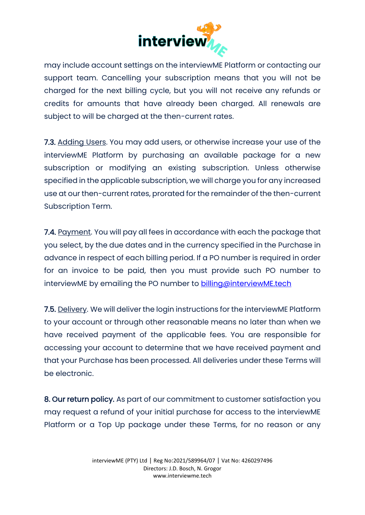

may include account settings on the interviewME Platform or contacting our support team. Cancelling your subscription means that you will not be charged for the next billing cycle, but you will not receive any refunds or credits for amounts that have already been charged. All renewals are subject to will be charged at the then-current rates.

7.3. Adding Users. You may add users, or otherwise increase your use of the interviewME Platform by purchasing an available package for a new subscription or modifying an existing subscription. Unless otherwise specified in the applicable subscription, we will charge you for any increased use at our then-current rates, prorated for the remainder of the then-current Subscription Term.

7.4. Payment. You will pay all fees in accordance with each the package that you select, by the due dates and in the currency specified in the Purchase in advance in respect of each billing period. If a PO number is required in order for an invoice to be paid, then you must provide such PO number to interviewME by emailing the PO number to [billing@interviewME.tech](mailto:billing@interviewME.tech)

7.5. Delivery. We will deliver the login instructions for the interviewME Platform to your account or through other reasonable means no later than when we have received payment of the applicable fees. You are responsible for accessing your account to determine that we have received payment and that your Purchase has been processed. All deliveries under these Terms will be electronic.

8. Our return policy. As part of our commitment to customer satisfaction you may request a refund of your initial purchase for access to the interviewME Platform or a Top Up package under these Terms, for no reason or any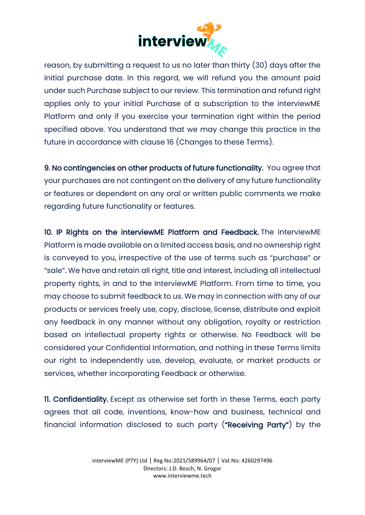

reason, by submitting a request to us no later than thirty (30) days after the initial purchase date. In this regard, we will refund you the amount paid under such Purchase subject to our review. This termination and refund right applies only to your initial Purchase of a subscription to the interviewME Platform and only if you exercise your termination right within the period specified above. You understand that we may change this practice in the future in accordance with clause 16 (Changes to these Terms).

9. No contingencies on other products of future functionality. You agree that your purchases are not contingent on the delivery of any future functionality or features or dependent on any oral or written public comments we make regarding future functionality or features.

10. IP Rights on the interviewME Platform and Feedback. The interviewME Platform is made available on a limited access basis, and no ownership right is conveyed to you, irrespective of the use of terms such as "purchase" or "sale". We have and retain all right, title and interest, including all intellectual property rights, in and to the InterviewME Platform. From time to time, you may choose to submit feedback to us. We may in connection with any of our products or services freely use, copy, disclose, license, distribute and exploit any feedback in any manner without any obligation, royalty or restriction based on intellectual property rights or otherwise. No Feedback will be considered your Confidential Information, and nothing in these Terms limits our right to independently use, develop, evaluate, or market products or services, whether incorporating Feedback or otherwise.

11. Confidentiality. Except as otherwise set forth in these Terms, each party agrees that all code, inventions, know-how and business, technical and financial information disclosed to such party ("Receiving Party") by the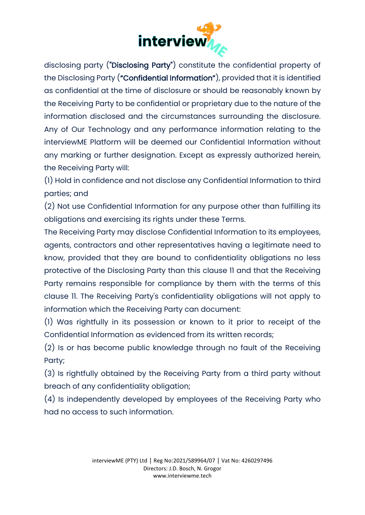

disclosing party ("Disclosing Party") constitute the confidential property of the Disclosing Party ("Confidential Information"), provided that it is identified as confidential at the time of disclosure or should be reasonably known by the Receiving Party to be confidential or proprietary due to the nature of the information disclosed and the circumstances surrounding the disclosure. Any of Our Technology and any performance information relating to the interviewME Platform will be deemed our Confidential Information without any marking or further designation. Except as expressly authorized herein, the Receiving Party will:

(1) Hold in confidence and not disclose any Confidential Information to third parties; and

(2) Not use Confidential Information for any purpose other than fulfilling its obligations and exercising its rights under these Terms.

The Receiving Party may disclose Confidential Information to its employees, agents, contractors and other representatives having a legitimate need to know, provided that they are bound to confidentiality obligations no less protective of the Disclosing Party than this clause 11 and that the Receiving Party remains responsible for compliance by them with the terms of this clause 11. The Receiving Party's confidentiality obligations will not apply to information which the Receiving Party can document:

(1) Was rightfully in its possession or known to it prior to receipt of the Confidential Information as evidenced from its written records;

(2) Is or has become public knowledge through no fault of the Receiving Party;

(3) Is rightfully obtained by the Receiving Party from a third party without breach of any confidentiality obligation;

(4) Is independently developed by employees of the Receiving Party who had no access to such information.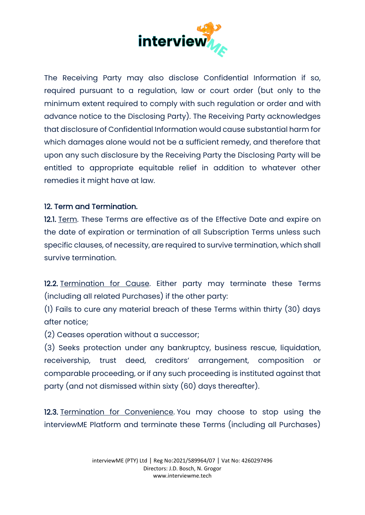

The Receiving Party may also disclose Confidential Information if so, required pursuant to a regulation, law or court order (but only to the minimum extent required to comply with such regulation or order and with advance notice to the Disclosing Party). The Receiving Party acknowledges that disclosure of Confidential Information would cause substantial harm for which damages alone would not be a sufficient remedy, and therefore that upon any such disclosure by the Receiving Party the Disclosing Party will be entitled to appropriate equitable relief in addition to whatever other remedies it might have at law.

## 12. Term and Termination.

12.1. Term. These Terms are effective as of the Effective Date and expire on the date of expiration or termination of all Subscription Terms unless such specific clauses, of necessity, are required to survive termination, which shall survive termination.

12.2. Termination for Cause. Either party may terminate these Terms (including all related Purchases) if the other party:

(1) Fails to cure any material breach of these Terms within thirty (30) days after notice;

(2) Ceases operation without a successor;

(3) Seeks protection under any bankruptcy, business rescue, liquidation, receivership, trust deed, creditors' arrangement, composition or comparable proceeding, or if any such proceeding is instituted against that party (and not dismissed within sixty (60) days thereafter).

12.3. Termination for Convenience. You may choose to stop using the interviewME Platform and terminate these Terms (including all Purchases)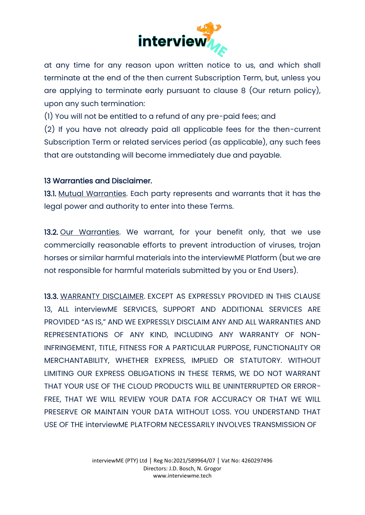

at any time for any reason upon written notice to us, and which shall terminate at the end of the then current Subscription Term, but, unless you are applying to terminate early pursuant to clause 8 (Our return policy), upon any such termination:

(1) You will not be entitled to a refund of any pre-paid fees; and

(2) If you have not already paid all applicable fees for the then-current Subscription Term or related services period (as applicable), any such fees that are outstanding will become immediately due and payable.

#### 13 Warranties and Disclaimer.

13.1. Mutual Warranties. Each party represents and warrants that it has the legal power and authority to enter into these Terms.

13.2. Our Warranties. We warrant, for your benefit only, that we use commercially reasonable efforts to prevent introduction of viruses, trojan horses or similar harmful materials into the interviewME Platform (but we are not responsible for harmful materials submitted by you or End Users).

13.3. WARRANTY DISCLAIMER. EXCEPT AS EXPRESSLY PROVIDED IN THIS CLAUSE 13, ALL interviewME SERVICES, SUPPORT AND ADDITIONAL SERVICES ARE PROVIDED "AS IS," AND WE EXPRESSLY DISCLAIM ANY AND ALL WARRANTIES AND REPRESENTATIONS OF ANY KIND, INCLUDING ANY WARRANTY OF NON-INFRINGEMENT, TITLE, FITNESS FOR A PARTICULAR PURPOSE, FUNCTIONALITY OR MERCHANTABILITY, WHETHER EXPRESS, IMPLIED OR STATUTORY. WITHOUT LIMITING OUR EXPRESS OBLIGATIONS IN THESE TERMS, WE DO NOT WARRANT THAT YOUR USE OF THE CLOUD PRODUCTS WILL BE UNINTERRUPTED OR ERROR-FREE, THAT WE WILL REVIEW YOUR DATA FOR ACCURACY OR THAT WE WILL PRESERVE OR MAINTAIN YOUR DATA WITHOUT LOSS. YOU UNDERSTAND THAT USE OF THE interviewME PLATFORM NECESSARILY INVOLVES TRANSMISSION OF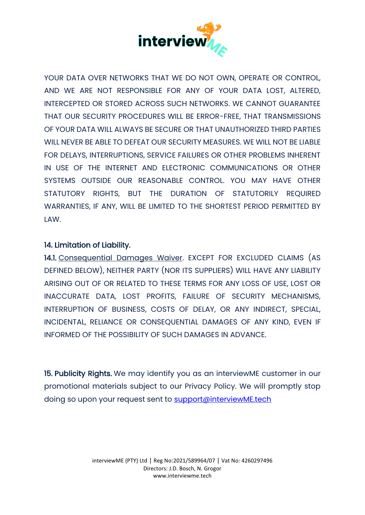

YOUR DATA OVER NETWORKS THAT WE DO NOT OWN, OPERATE OR CONTROL, AND WE ARE NOT RESPONSIBLE FOR ANY OF YOUR DATA LOST, ALTERED, INTERCEPTED OR STORED ACROSS SUCH NETWORKS. WE CANNOT GUARANTEE THAT OUR SECURITY PROCEDURES WILL BE ERROR-FREE, THAT TRANSMISSIONS OF YOUR DATA WILL ALWAYS BE SECURE OR THAT UNAUTHORIZED THIRD PARTIES WILL NEVER BE ABLE TO DEFEAT OUR SECURITY MEASURES. WE WILL NOT BE LIABLE FOR DELAYS, INTERRUPTIONS, SERVICE FAILURES OR OTHER PROBLEMS INHERENT IN USE OF THE INTERNET AND ELECTRONIC COMMUNICATIONS OR OTHER SYSTEMS OUTSIDE OUR REASONABLE CONTROL. YOU MAY HAVE OTHER STATUTORY RIGHTS, BUT THE DURATION OF STATUTORILY REQUIRED WARRANTIES, IF ANY, WILL BE LIMITED TO THE SHORTEST PERIOD PERMITTED BY LAW.

## 14. Limitation of Liability.

14.1. Consequential Damages Waiver. EXCEPT FOR EXCLUDED CLAIMS (AS DEFINED BELOW), NEITHER PARTY (NOR ITS SUPPLIERS) WILL HAVE ANY LIABILITY ARISING OUT OF OR RELATED TO THESE TERMS FOR ANY LOSS OF USE, LOST OR INACCURATE DATA, LOST PROFITS, FAILURE OF SECURITY MECHANISMS, INTERRUPTION OF BUSINESS, COSTS OF DELAY, OR ANY INDIRECT, SPECIAL, INCIDENTAL, RELIANCE OR CONSEQUENTIAL DAMAGES OF ANY KIND, EVEN IF INFORMED OF THE POSSIBILITY OF SUCH DAMAGES IN ADVANCE.

15. Publicity Rights. We may identify you as an interviewME customer in our promotional materials subject to our Privacy Policy. We will promptly stop doing so upon your request sent to [support@interviewME.tech](mailto:support@interviewME.tech)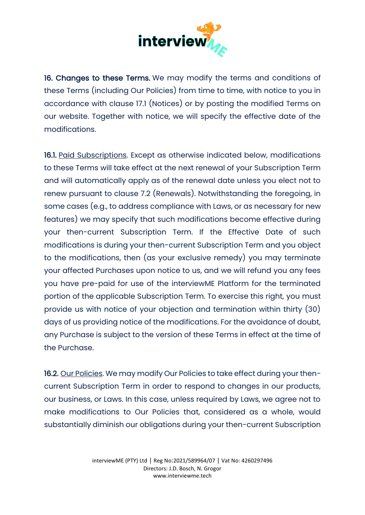

16. Changes to these Terms. We may modify the terms and conditions of these Terms (including Our Policies) from time to time, with notice to you in accordance with clause 17.1 (Notices) or by posting the modified Terms on our website. Together with notice, we will specify the effective date of the modifications.

16.1. Paid Subscriptions. Except as otherwise indicated below, modifications to these Terms will take effect at the next renewal of your Subscription Term and will automatically apply as of the renewal date unless you elect not to renew pursuant to clause 7.2 (Renewals). Notwithstanding the foregoing, in some cases (e.g., to address compliance with Laws, or as necessary for new features) we may specify that such modifications become effective during your then-current Subscription Term. If the Effective Date of such modifications is during your then-current Subscription Term and you object to the modifications, then (as your exclusive remedy) you may terminate your affected Purchases upon notice to us, and we will refund you any fees you have pre-paid for use of the interviewME Platform for the terminated portion of the applicable Subscription Term. To exercise this right, you must provide us with notice of your objection and termination within thirty (30) days of us providing notice of the modifications. For the avoidance of doubt, any Purchase is subject to the version of these Terms in effect at the time of the Purchase.

16.2. Our Policies. We may modify Our Policies to take effect during your thencurrent Subscription Term in order to respond to changes in our products, our business, or Laws. In this case, unless required by Laws, we agree not to make modifications to Our Policies that, considered as a whole, would substantially diminish our obligations during your then-current Subscription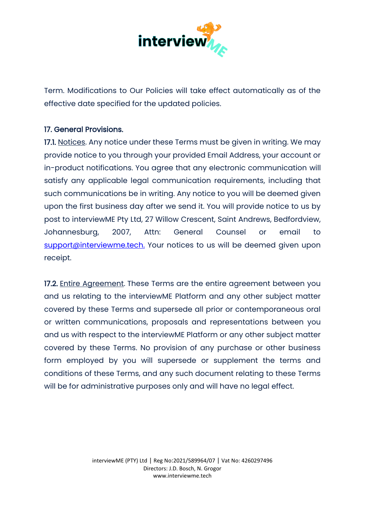

Term. Modifications to Our Policies will take effect automatically as of the effective date specified for the updated policies.

#### 17. General Provisions.

17.1. Notices. Any notice under these Terms must be given in writing. We may provide notice to you through your provided Email Address, your account or in-product notifications. You agree that any electronic communication will satisfy any applicable legal communication requirements, including that such communications be in writing. Any notice to you will be deemed given upon the first business day after we send it. You will provide notice to us by post to interviewME Pty Ltd, 27 Willow Crescent, Saint Andrews, Bedfordview, Johannesburg, 2007, Attn: General Counsel or email to [support@interviewme.tech.](mailto:support@interviewme.tech) Your notices to us will be deemed given upon receipt.

17.2. Entire Agreement. These Terms are the entire agreement between you and us relating to the interviewME Platform and any other subject matter covered by these Terms and supersede all prior or contemporaneous oral or written communications, proposals and representations between you and us with respect to the interviewME Platform or any other subject matter covered by these Terms. No provision of any purchase or other business form employed by you will supersede or supplement the terms and conditions of these Terms, and any such document relating to these Terms will be for administrative purposes only and will have no legal effect.

> interviewME (PTY) Ltd | Reg No:2021/589964/07 | Vat No: 4260297496 Directors: J.D. Bosch, N. Grogor www.interviewme.tech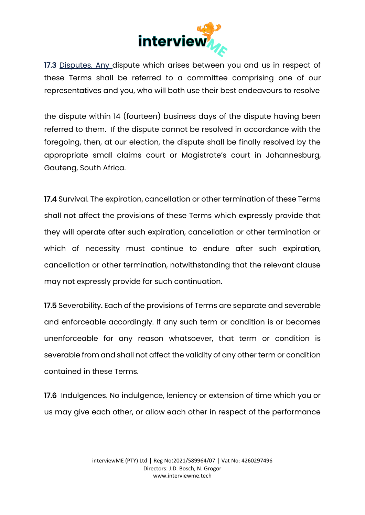

17.3 Disputes. Any dispute which arises between you and us in respect of these Terms shall be referred to a committee comprising one of our representatives and you, who will both use their best endeavours to resolve

the dispute within 14 (fourteen) business days of the dispute having been referred to them. If the dispute cannot be resolved in accordance with the foregoing, then, at our election, the dispute shall be finally resolved by the appropriate small claims court or Magistrate's court in Johannesburg, Gauteng, South Africa.

17.4 Survival. The expiration, cancellation or other termination of these Terms shall not affect the provisions of these Terms which expressly provide that they will operate after such expiration, cancellation or other termination or which of necessity must continue to endure after such expiration, cancellation or other termination, notwithstanding that the relevant clause may not expressly provide for such continuation.

17.5 Severability. Each of the provisions of Terms are separate and severable and enforceable accordingly. If any such term or condition is or becomes unenforceable for any reason whatsoever, that term or condition is severable from and shall not affect the validity of any other term or condition contained in these Terms.

17.6 Indulgences. No indulgence, leniency or extension of time which you or us may give each other, or allow each other in respect of the performance